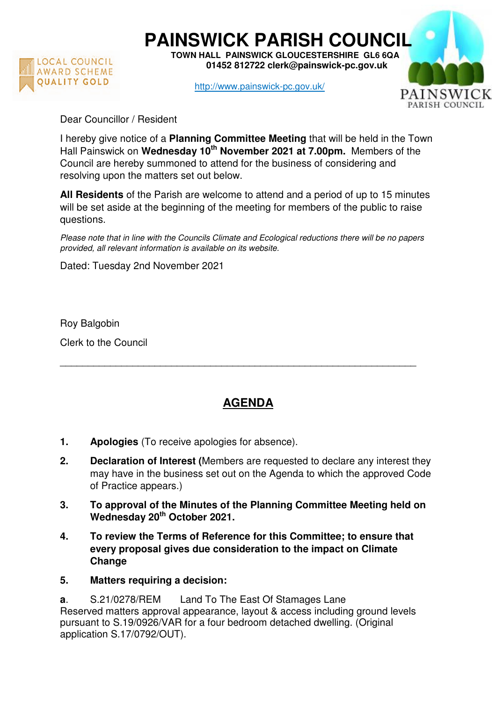

**PAINSWICK PARISH COUNCIL TOWN HALL PAINSWICK GLOUCESTERSHIRE GL6 6QA** 

 **01452 812722 clerk@painswick-pc.gov.uk** 

http://www.painswick-pc.gov.uk/



Dear Councillor / Resident

I hereby give notice of a **Planning Committee Meeting** that will be held in the Town Hall Painswick on **Wednesday 10th November 2021 at 7.00pm.** Members of the Council are hereby summoned to attend for the business of considering and resolving upon the matters set out below.

**All Residents** of the Parish are welcome to attend and a period of up to 15 minutes will be set aside at the beginning of the meeting for members of the public to raise questions.

Please note that in line with the Councils Climate and Ecological reductions there will be no papers provided, all relevant information is available on its website.

Dated: Tuesday 2nd November 2021

Roy Balgobin

Clerk to the Council

## **AGENDA**

\_\_\_\_\_\_\_\_\_\_\_\_\_\_\_\_\_\_\_\_\_\_\_\_\_\_\_\_\_\_\_\_\_\_\_\_\_\_\_\_\_\_\_\_\_\_\_\_\_\_\_\_\_\_\_\_\_\_\_\_\_\_\_\_

- **1. Apologies** (To receive apologies for absence).
- **2. Declaration of Interest (**Members are requested to declare any interest they may have in the business set out on the Agenda to which the approved Code of Practice appears.)
- **3. To approval of the Minutes of the Planning Committee Meeting held on Wednesday 20th October 2021.**
- **4. To review the Terms of Reference for this Committee; to ensure that every proposal gives due consideration to the impact on Climate Change**
- **5. Matters requiring a decision:**

**a**. S.21/0278/REM Land To The East Of Stamages Lane Reserved matters approval appearance, layout & access including ground levels pursuant to S.19/0926/VAR for a four bedroom detached dwelling. (Original application S.17/0792/OUT).